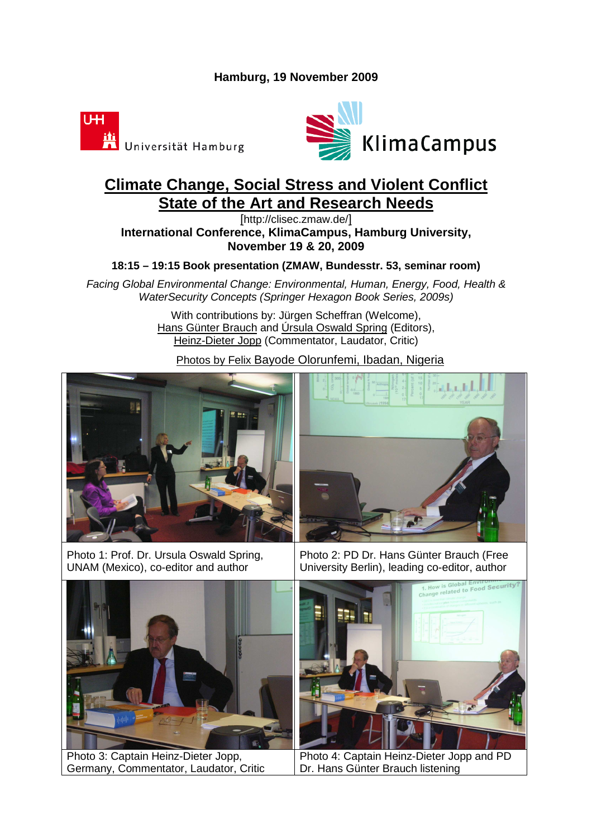## **Hamburg, 19 November 2009**





## **Climate Change, Social Stress and Violent Conflict State of the Art and Research Needs**

[http://clisec.zmaw.de/] **International Conference, KlimaCampus, Hamburg University, November 19 & 20, 2009** 

**18:15 – 19:15 Book presentation (ZMAW, Bundesstr. 53, seminar room)** 

Facing Global Environmental Change: Environmental, Human, Energy, Food, Health & WaterSecurity Concepts (Springer Hexagon Book Series, 2009s)

> With contributions by: Jürgen Scheffran (Welcome), Hans Günter Brauch and Úrsula Oswald Spring (Editors), Heinz-Dieter Jopp (Commentator, Laudator, Critic)

Photos by Felix Bayode Olorunfemi, Ibadan, Nigeria









Photo 3: Captain Heinz-Dieter Jopp, Germany, Commentator, Laudator, Critic

Photo 2: PD Dr. Hans Günter Brauch (Free University Berlin), leading co-editor, author



Photo 4: Captain Heinz-Dieter Jopp and PD Dr. Hans Günter Brauch listening